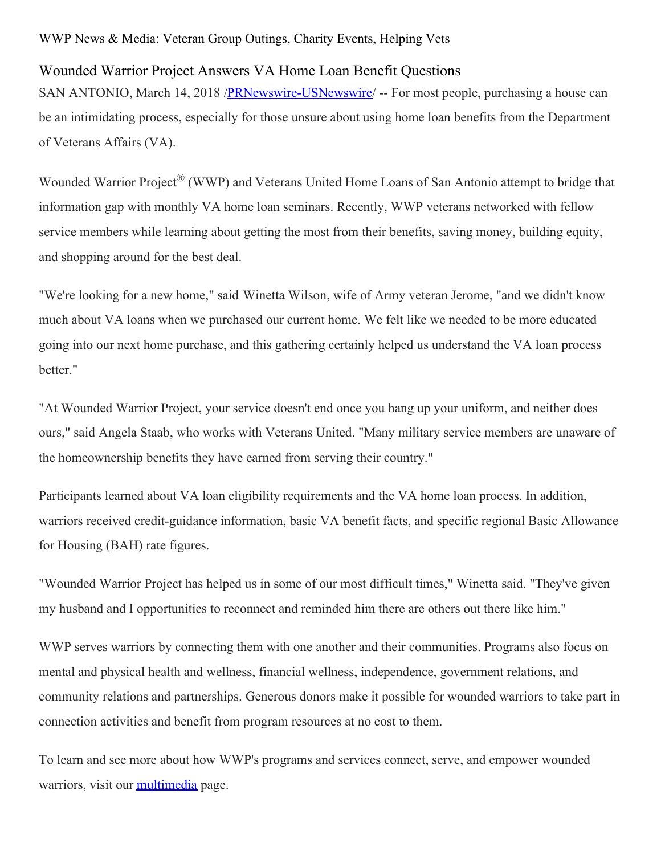## WWP News & Media: Veteran Group Outings, Charity Events, Helping Vets

## Wounded Warrior Project Answers VA Home Loan Benefit Questions

SAN ANTONIO, March 14, 2018 /**PRNewswire-USNewswire**/ -- For most people, purchasing a house can be an intimidating process, especially for those unsure about using home loan benefits from the Department of Veterans Affairs (VA).

Wounded Warrior Project<sup>®</sup> (WWP) and Veterans United Home Loans of San Antonio attempt to bridge that information gap with monthly VA home loan seminars. Recently, WWP veterans networked with fellow service members while learning about getting the most from their benefits, saving money, building equity, and shopping around for the best deal.

"We're looking for a new home," said Winetta Wilson, wife of Army veteran Jerome, "and we didn't know much about VA loans when we purchased our current home. We felt like we needed to be more educated going into our next home purchase, and this gathering certainly helped us understand the VA loan process better."

"At Wounded Warrior Project, your service doesn't end once you hang up your uniform, and neither does ours," said Angela Staab, who works with Veterans United. "Many military service members are unaware of the homeownership benefits they have earned from serving their country."

Participants learned about VA loan eligibility requirements and the VA home loan process. In addition, warriors received credit-guidance information, basic VA benefit facts, and specific regional Basic Allowance for Housing (BAH) rate figures.

"Wounded Warrior Project has helped us in some of our most difficult times," Winetta said. "They've given my husband and I opportunities to reconnect and reminded him there are others out there like him."

WWP serves warriors by connecting them with one another and their communities. Programs also focus on mental and physical health and wellness, financial wellness, independence, government relations, and community relations and partnerships. Generous donors make it possible for wounded warriors to take part in connection activities and benefit from program resources at no cost to them.

To learn and see more about how WWP's programs and services connect, serve, and empower wounded warriors, visit our [multimedia](https://newsroom.woundedwarriorproject.org/news-releases) page.